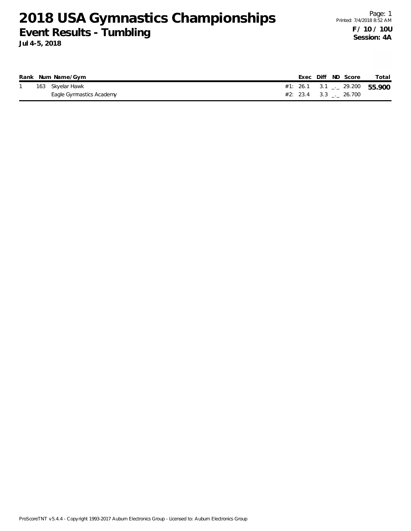|  | Rank Num Name/Gym        |                                          |  | Exec Diff ND Score | Total |
|--|--------------------------|------------------------------------------|--|--------------------|-------|
|  | 163 Skyelar Hawk         | #1: 26.1 3.1 $\frac{1}{2}$ 29.200 55.900 |  |                    |       |
|  | Eagle Gymnastics Academy | #2: 23.4 3.3 . 26.700                    |  |                    |       |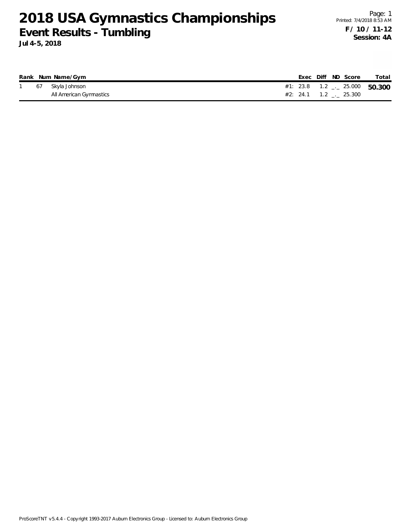|  | Rank Num Name/Gym       |  | Exec Diff ND Score               | Total |
|--|-------------------------|--|----------------------------------|-------|
|  | 67 Skyla Johnson        |  | #1: 23.8  1.2 $-$ 25.000  50.300 |       |
|  | All American Gymnastics |  | $#2: 24.1 \t1.2 \t 25.300$       |       |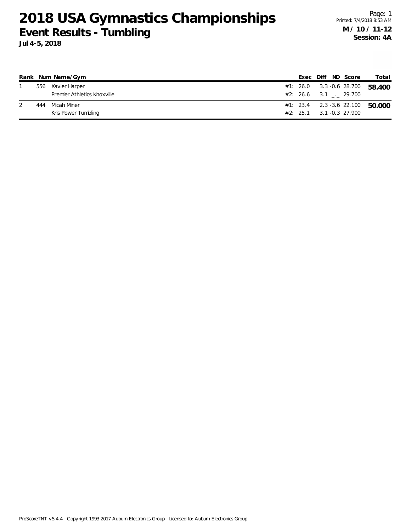|     | Rank Num Name/Gym           |  |  | Exec Diff ND Score                      | Total                             |
|-----|-----------------------------|--|--|-----------------------------------------|-----------------------------------|
|     | 556 Xavier Harper           |  |  | #1: 26.0 3.3 -0.6 28.700                | 58.400                            |
|     | Premier Athletics Knoxville |  |  | $#2: 26.6$ 3.1 . 29.700                 |                                   |
| 444 | Micah Miner                 |  |  |                                         | $#1: 23.4$ 2.3 -3.6 22.100 50.000 |
|     | Kris Power Tumbling         |  |  | $#2: 25.1 \qquad 3.1 -0.3 \quad 27.900$ |                                   |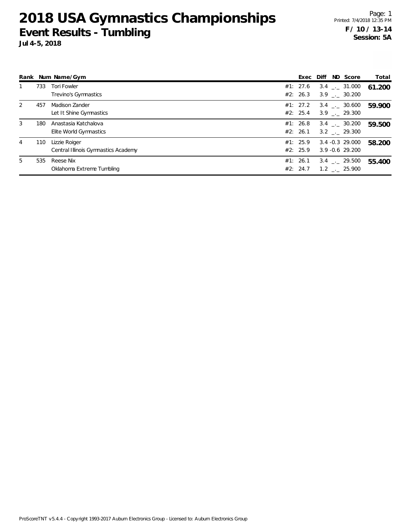|   |     | Rank Num Name/Gym                                    | Exec Diff            | ND Score                                          | Total  |
|---|-----|------------------------------------------------------|----------------------|---------------------------------------------------|--------|
|   | 733 | <b>Tori Fowler</b><br>Trevino's Gymnastics           | #1: 27.6<br>#2: 26.3 | $3.4$ $_{\sim}$ 31.000<br>$3.9$ $_{\sim}$ 30.200  | 61.200 |
| 2 | 457 | Madison Zander<br>Let It Shine Gymnastics            | #1: 27.2<br>#2: 25.4 | $3.4$ $-.$ 30.600<br>$3.9$ $_{\sim}$ 29.300       | 59.900 |
| 3 | 180 | Anastasia Katchalova<br>Elite World Gymnastics       | #1: 26.8<br>#2: 26.1 | $3.4$ $-.$ 30.200<br>3.2 . 29.300                 | 59.500 |
| 4 | 110 | Lizzie Roiger<br>Central Illinois Gymnastics Academy | #1: 25.9<br>#2: 25.9 | $3.4 - 0.3$ 29.000<br>$3.9 - 0.6$ 29.200          | 58.200 |
| 5 | 535 | Reese Nix<br>Oklahoma Extreme Tumbling               | #1: 26.1<br>#2: 24.7 | $3.4$ $-.$ 29.500<br>$1.2$ $_{\leftarrow}$ 25.900 | 55.400 |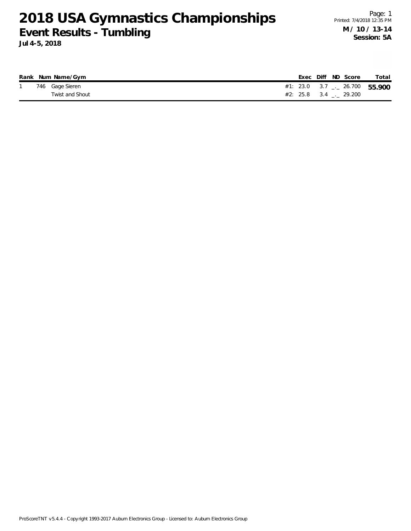|  | Rank Num Name/Gym |                                |  | Exec Diff ND Score | Total |
|--|-------------------|--------------------------------|--|--------------------|-------|
|  | 746 Gage Sieren   | #1: 23.0 3.7 $-26.700$ 55.900  |  |                    |       |
|  | Twist and Shout   | $\#2$ : 25.8 3.4 $\_\_$ 29.200 |  |                    |       |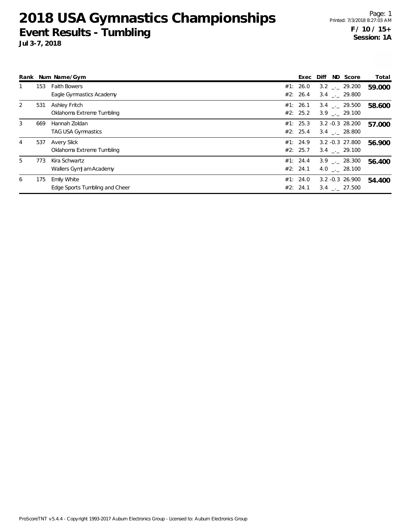**Jul 3-7, 2018**

|   |     | Rank Num Name/Gym                                    | ND Score<br>Diff<br>Exec                                                   | Total  |
|---|-----|------------------------------------------------------|----------------------------------------------------------------------------|--------|
|   | 153 | <b>Faith Bowers</b><br>Eagle Gymnastics Academy      | #1: 26.0<br>$3.2$ $_{\sim}$ 29.200<br>#2: 26.4<br>3.4 . 29.800             | 59.000 |
| 2 | 531 | Ashley Fritch<br>Oklahoma Extreme Tumbling           | #1: 26.1<br>3.4 . 29.500<br>#2: 25.2<br>$3.9$ $_{\sim}$ 29.100             | 58.600 |
| 3 | 669 | Hannah Zoldan<br><b>TAG USA Gymnastics</b>           | #1: 25.3<br>$3.2 - 0.3$ 28.200<br>#2: 25.4<br>3.4 . 28.800                 | 57.000 |
| 4 | 537 | Avery Slick<br>Oklahoma Extreme Tumbling             | #1: 24.9<br>3.2 -0.3 27.800<br>#2: 25.7<br>$3.4$ $-.29.100$                | 56.900 |
| 5 | 773 | Kira Schwartz<br>Wallers GymJam Academy              | #1: 24.4<br>$3.9$ $_{-1}$ 28.300<br>#2: 24.1<br>4.0 . 28.100               | 56.400 |
| 6 | 175 | <b>Emily White</b><br>Edge Sports Tumbling and Cheer | #1: 24.0<br>$3.2 - 0.3$ 26.900<br>#2: 24.1<br>$3.4$ $_{\leftarrow}$ 27.500 | 54.400 |